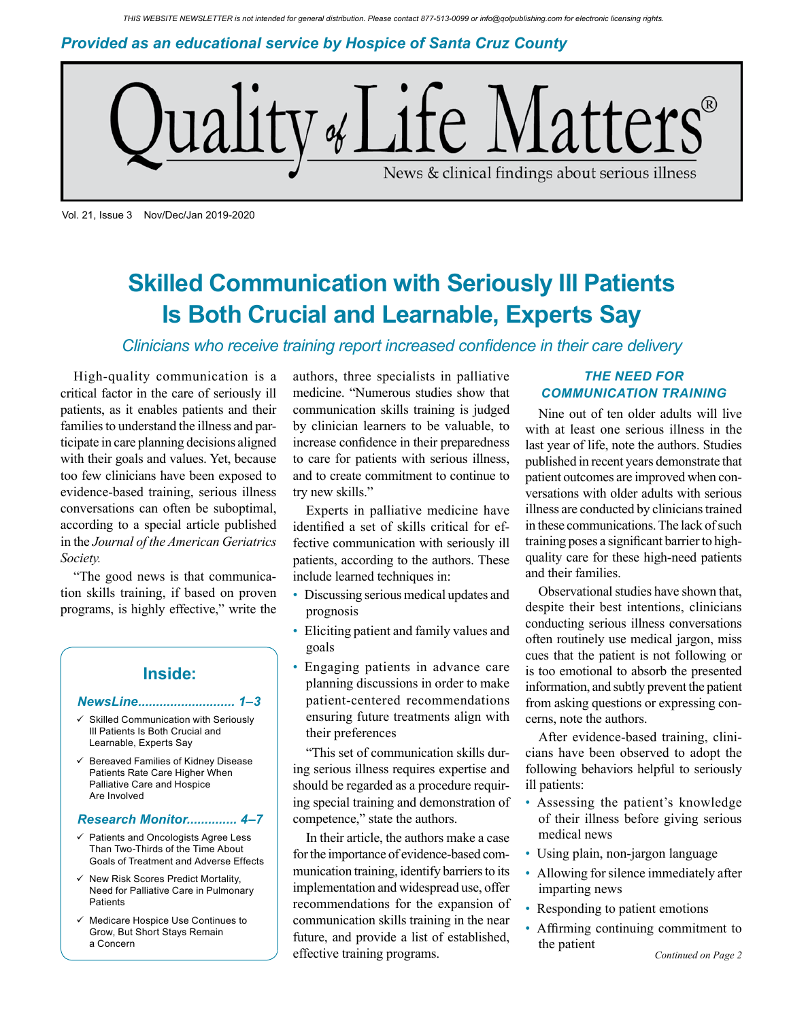*Provided as an educational service by Hospice of Santa Cruz County*



Vol. 21, Issue 3 Nov/Dec/Jan 2019-2020

# **Skilled Communication with Seriously Ill Patients Is Both Crucial and Learnable, Experts Say**

## *Clinicians who receive training report increased confidence in their care delivery*

High-quality communication is a critical factor in the care of seriously ill patients, as it enables patients and their families to understand the illness and participate in care planning decisions aligned with their goals and values. Yet, because too few clinicians have been exposed to evidence-based training, serious illness conversations can often be suboptimal, according to a special article published in the *Journal of the American Geriatrics Society.*

"The good news is that communication skills training, if based on proven programs, is highly effective," write the

## **Inside:**

#### *NewsLine........................... 1–3*

- $\checkmark$  Skilled Communication with Seriously Ill Patients Is Both Crucial and Learnable, Experts Say
- $\checkmark$  Bereaved Families of Kidney Disease Patients Rate Care Higher When Palliative Care and Hospice Are Involved

#### *Research Monitor.............. 4–7*

- Patients and Oncologists Agree Less Than Two-Thirds of the Time About Goals of Treatment and Adverse Effects
- New Risk Scores Predict Mortality, Need for Palliative Care in Pulmonary Patients
- Medicare Hospice Use Continues to Grow, But Short Stays Remain a Concern

authors, three specialists in palliative medicine. "Numerous studies show that communication skills training is judged by clinician learners to be valuable, to increase confidence in their preparedness to care for patients with serious illness, and to create commitment to continue to try new skills."

Experts in palliative medicine have identified a set of skills critical for effective communication with seriously ill patients, according to the authors. These include learned techniques in:

- Discussing serious medical updates and prognosis
- Eliciting patient and family values and goals
- Engaging patients in advance care planning discussions in order to make patient-centered recommendations ensuring future treatments align with their preferences

"This set of communication skills during serious illness requires expertise and should be regarded as a procedure requiring special training and demonstration of competence," state the authors.

In their article, the authors make a case for the importance of evidence-based communication training, identify barriers to its implementation and widespread use, offer recommendations for the expansion of communication skills training in the near future, and provide a list of established, effective training programs.

### *THE NEED FOR COMMUNICATION TRAINING*

Nine out of ten older adults will live with at least one serious illness in the last year of life, note the authors. Studies published in recent years demonstrate that patient outcomes are improved when conversations with older adults with serious illness are conducted by clinicians trained in these communications. The lack of such training poses a significant barrier to highquality care for these high-need patients and their families.

Observational studies have shown that, despite their best intentions, clinicians conducting serious illness conversations often routinely use medical jargon, miss cues that the patient is not following or is too emotional to absorb the presented information, and subtly prevent the patient from asking questions or expressing concerns, note the authors.

After evidence-based training, clinicians have been observed to adopt the following behaviors helpful to seriously ill patients:

- Assessing the patient's knowledge of their illness before giving serious medical news
- Using plain, non-jargon language
- Allowing for silence immediately after imparting news
- Responding to patient emotions
- Affirming continuing commitment to the patient *Continued on Page 2*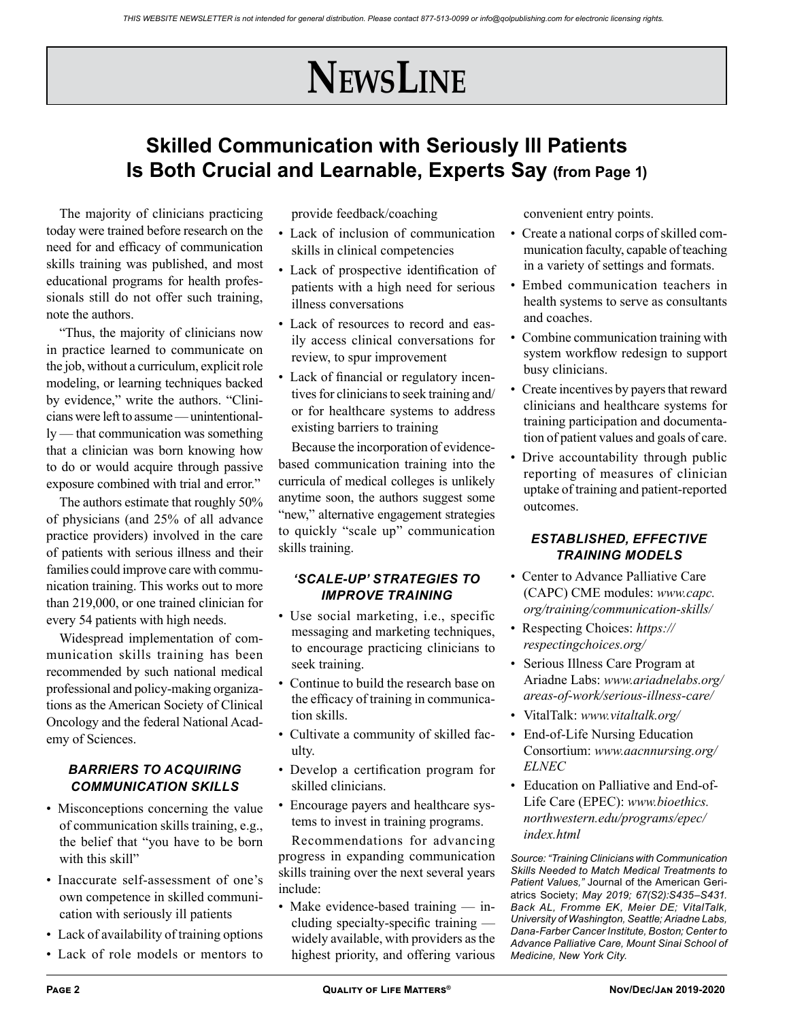# **NewsLine**

## **Skilled Communication with Seriously Ill Patients Is Both Crucial and Learnable, Experts Say (from Page 1)**

The majority of clinicians practicing today were trained before research on the need for and efficacy of communication skills training was published, and most educational programs for health professionals still do not offer such training, note the authors.

"Thus, the majority of clinicians now in practice learned to communicate on the job, without a curriculum, explicit role modeling, or learning techniques backed by evidence," write the authors. "Clinicians were left to assume — unintentionally — that communication was something that a clinician was born knowing how to do or would acquire through passive exposure combined with trial and error."

The authors estimate that roughly 50% of physicians (and 25% of all advance practice providers) involved in the care of patients with serious illness and their families could improve care with communication training. This works out to more than 219,000, or one trained clinician for every 54 patients with high needs.

Widespread implementation of communication skills training has been recommended by such national medical professional and policy-making organizations as the American Society of Clinical Oncology and the federal National Academy of Sciences.

## *BARRIERS TO ACQUIRING COMMUNICATION SKILLS*

- Misconceptions concerning the value of communication skills training, e.g., the belief that "you have to be born with this skill"
- Inaccurate self-assessment of one's own competence in skilled communication with seriously ill patients
- Lack of availability of training options
- Lack of role models or mentors to

provide feedback/coaching

- Lack of inclusion of communication skills in clinical competencies
- Lack of prospective identification of patients with a high need for serious illness conversations
- Lack of resources to record and easily access clinical conversations for review, to spur improvement
- Lack of financial or regulatory incentives for clinicians to seek training and/ or for healthcare systems to address existing barriers to training

Because the incorporation of evidencebased communication training into the curricula of medical colleges is unlikely anytime soon, the authors suggest some "new," alternative engagement strategies to quickly "scale up" communication skills training.

#### *'SCALE-UP' STRATEGIES TO IMPROVE TRAINING*

- Use social marketing, i.e., specific messaging and marketing techniques, to encourage practicing clinicians to seek training.
- Continue to build the research base on the efficacy of training in communication skills.
- Cultivate a community of skilled faculty.
- Develop a certification program for skilled clinicians.
- Encourage payers and healthcare systems to invest in training programs.

Recommendations for advancing progress in expanding communication skills training over the next several years include:

• Make evidence-based training — including specialty-specific training widely available, with providers as the highest priority, and offering various

convenient entry points.

- Create a national corps of skilled communication faculty, capable of teaching in a variety of settings and formats.
- Embed communication teachers in health systems to serve as consultants and coaches.
- Combine communication training with system workflow redesign to support busy clinicians.
- Create incentives by payers that reward clinicians and healthcare systems for training participation and documentation of patient values and goals of care.
- Drive accountability through public reporting of measures of clinician uptake of training and patient-reported outcomes.

## *ESTABLISHED, EFFECTIVE TRAINING MODELS*

- Center to Advance Palliative Care (CAPC) CME modules: *www.capc. org/training/communication-skills/*
- Respecting Choices: *https:// respectingchoices.org/*
- Serious Illness Care Program at Ariadne Labs: *www.ariadnelabs.org/ areas-of-work/serious-illness-care/*
- VitalTalk: *www.vitaltalk.org/*
- End-of-Life Nursing Education Consortium: *www.aacnnursing.org/ ELNEC*
- Education on Palliative and End-of-Life Care (EPEC): *www.bioethics. northwestern.edu/programs/epec/ index.html*

*Source: "Training Clinicians with Communication Skills Needed to Match Medical Treatments to Patient Values,"* Journal of the American Geriatrics Society; *May 2019; 67(S2):S435–S431. Back AL, Fromme EK, Meier DE; VitalTalk, University of Washington, Seattle; Ariadne Labs, Dana-Farber Cancer Institute, Boston; Center to Advance Palliative Care, Mount Sinai School of Medicine, New York City.*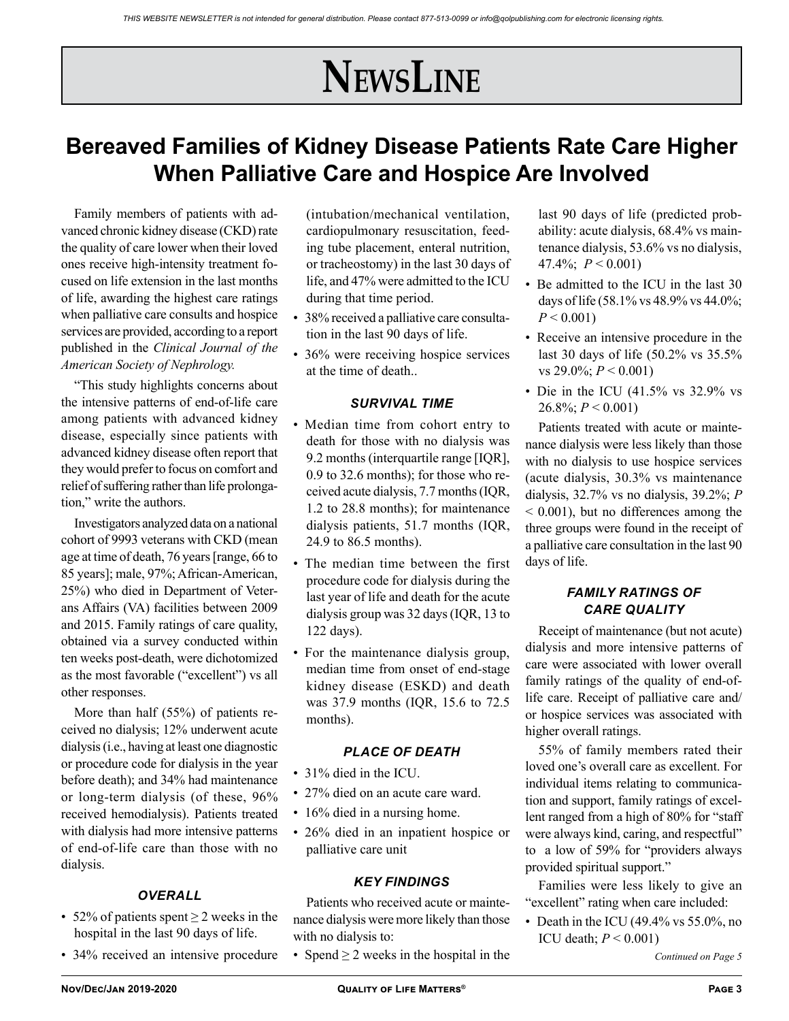# **NewsLine**

# **Bereaved Families of Kidney Disease Patients Rate Care Higher When Palliative Care and Hospice Are Involved**

Family members of patients with advanced chronic kidney disease (CKD) rate the quality of care lower when their loved ones receive high-intensity treatment focused on life extension in the last months of life, awarding the highest care ratings when palliative care consults and hospice services are provided, according to a report published in the *Clinical Journal of the American Society of Nephrology.*

"This study highlights concerns about the intensive patterns of end-of-life care among patients with advanced kidney disease, especially since patients with advanced kidney disease often report that they would prefer to focus on comfort and relief of suffering rather than life prolongation," write the authors.

Investigators analyzed data on a national cohort of 9993 veterans with CKD (mean age at time of death, 76 years [range, 66 to 85 years]; male, 97%; African-American, 25%) who died in Department of Veterans Affairs (VA) facilities between 2009 and 2015. Family ratings of care quality, obtained via a survey conducted within ten weeks post-death, were dichotomized as the most favorable ("excellent") vs all other responses.

More than half (55%) of patients received no dialysis; 12% underwent acute dialysis (i.e., having at least one diagnostic or procedure code for dialysis in the year before death); and 34% had maintenance or long-term dialysis (of these, 96% received hemodialysis). Patients treated with dialysis had more intensive patterns of end-of-life care than those with no dialysis.

### *OVERALL*

- 52% of patients spent  $\geq$  2 weeks in the hospital in the last 90 days of life.
- 34% received an intensive procedure

(intubation/mechanical ventilation, cardiopulmonary resuscitation, feeding tube placement, enteral nutrition, or tracheostomy) in the last 30 days of life, and 47% were admitted to the ICU during that time period.

- 38% received a palliative care consultation in the last 90 days of life.
- 36% were receiving hospice services at the time of death..

#### *SURVIVAL TIME*

- Median time from cohort entry to death for those with no dialysis was 9.2 months (interquartile range [IQR], 0.9 to 32.6 months); for those who received acute dialysis, 7.7 months (IQR, 1.2 to 28.8 months); for maintenance dialysis patients, 51.7 months (IQR, 24.9 to 86.5 months).
- The median time between the first procedure code for dialysis during the last year of life and death for the acute dialysis group was 32 days (IQR, 13 to 122 days).
- For the maintenance dialysis group, median time from onset of end-stage kidney disease (ESKD) and death was 37.9 months (IQR, 15.6 to 72.5 months).

#### *PLACE OF DEATH*

- 31% died in the ICU.
- 27% died on an acute care ward.
- 16% died in a nursing home.
- 26% died in an inpatient hospice or palliative care unit

#### *KEY FINDINGS*

Patients who received acute or maintenance dialysis were more likely than those with no dialysis to:

• Spend  $\geq 2$  weeks in the hospital in the

last 90 days of life (predicted probability: acute dialysis, 68.4% vs maintenance dialysis, 53.6% vs no dialysis, 47.4%; *P* < 0.001)

- Be admitted to the ICU in the last 30 days of life (58.1% vs 48.9% vs 44.0%;  $P < 0.001$
- Receive an intensive procedure in the last 30 days of life (50.2% vs 35.5% vs 29.0%; *P* < 0.001)
- Die in the ICU  $(41.5\% \text{ vs } 32.9\% \text{ vs }$  $26.8\%$ ;  $P < 0.001$ )

Patients treated with acute or maintenance dialysis were less likely than those with no dialysis to use hospice services (acute dialysis, 30.3% vs maintenance dialysis, 32.7% vs no dialysis, 39.2%; *P*  < 0.001), but no differences among the three groups were found in the receipt of a palliative care consultation in the last 90 days of life.

### *FAMILY RATINGS OF CARE QUALITY*

Receipt of maintenance (but not acute) dialysis and more intensive patterns of care were associated with lower overall family ratings of the quality of end-oflife care. Receipt of palliative care and/ or hospice services was associated with higher overall ratings.

55% of family members rated their loved one's overall care as excellent. For individual items relating to communication and support, family ratings of excellent ranged from a high of 80% for "staff were always kind, caring, and respectful" to a low of 59% for "providers always provided spiritual support."

Families were less likely to give an "excellent" rating when care included:

• Death in the ICU (49.4% vs  $55.0\%$ , no ICU death; *P* < 0.001)

*Continued on Page 5*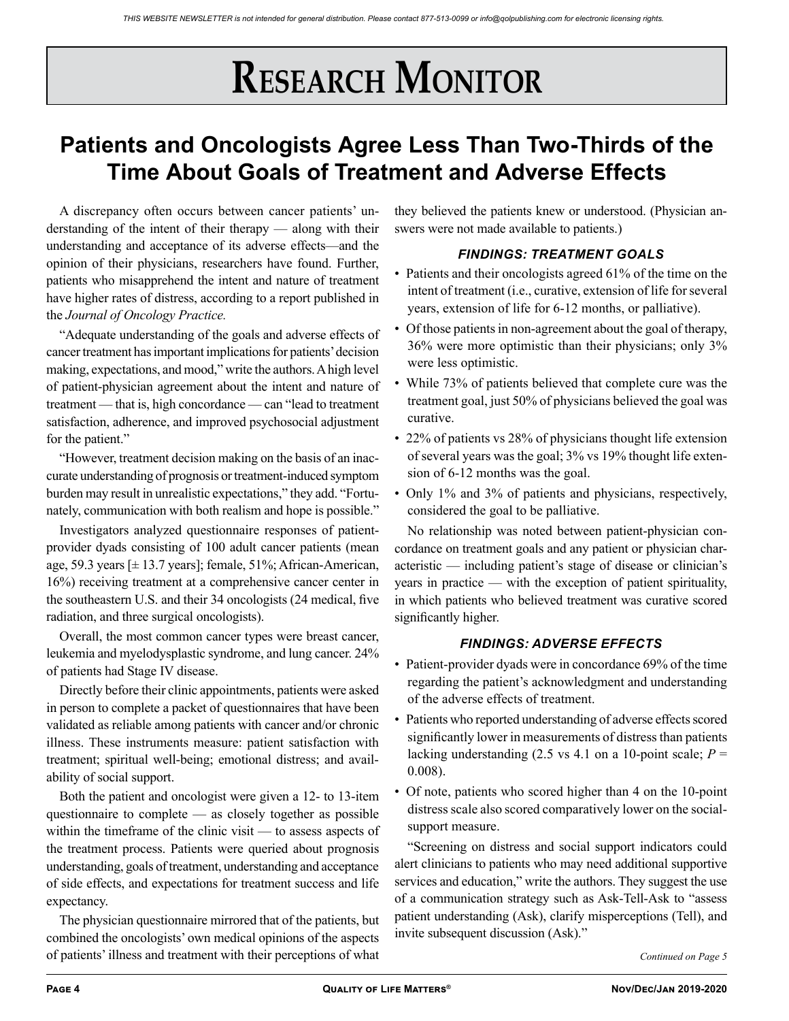# **Patients and Oncologists Agree Less Than Two-Thirds of the Time About Goals of Treatment and Adverse Effects**

A discrepancy often occurs between cancer patients' understanding of the intent of their therapy — along with their understanding and acceptance of its adverse effects—and the opinion of their physicians, researchers have found. Further, patients who misapprehend the intent and nature of treatment have higher rates of distress, according to a report published in the *Journal of Oncology Practice.*

"Adequate understanding of the goals and adverse effects of cancer treatment has important implications for patients' decision making, expectations, and mood," write the authors. A high level of patient-physician agreement about the intent and nature of treatment — that is, high concordance — can "lead to treatment satisfaction, adherence, and improved psychosocial adjustment for the patient."

"However, treatment decision making on the basis of an inaccurate understanding of prognosis or treatment-induced symptom burden may result in unrealistic expectations," they add. "Fortunately, communication with both realism and hope is possible."

Investigators analyzed questionnaire responses of patientprovider dyads consisting of 100 adult cancer patients (mean age, 59.3 years [± 13.7 years]; female, 51%; African-American, 16%) receiving treatment at a comprehensive cancer center in the southeastern U.S. and their 34 oncologists (24 medical, five radiation, and three surgical oncologists).

Overall, the most common cancer types were breast cancer, leukemia and myelodysplastic syndrome, and lung cancer. 24% of patients had Stage IV disease.

Directly before their clinic appointments, patients were asked in person to complete a packet of questionnaires that have been validated as reliable among patients with cancer and/or chronic illness. These instruments measure: patient satisfaction with treatment; spiritual well-being; emotional distress; and availability of social support.

Both the patient and oncologist were given a 12- to 13-item questionnaire to complete — as closely together as possible within the timeframe of the clinic visit — to assess aspects of the treatment process. Patients were queried about prognosis understanding, goals of treatment, understanding and acceptance of side effects, and expectations for treatment success and life expectancy.

The physician questionnaire mirrored that of the patients, but combined the oncologists' own medical opinions of the aspects of patients' illness and treatment with their perceptions of what

they believed the patients knew or understood. (Physician answers were not made available to patients.)

## *FINDINGS: TREATMENT GOALS*

- Patients and their oncologists agreed 61% of the time on the intent of treatment (i.e., curative, extension of life for several years, extension of life for 6-12 months, or palliative).
- Of those patients in non-agreement about the goal of therapy, 36% were more optimistic than their physicians; only 3% were less optimistic.
- While 73% of patients believed that complete cure was the treatment goal, just 50% of physicians believed the goal was curative.
- 22% of patients vs 28% of physicians thought life extension of several years was the goal; 3% vs 19% thought life extension of 6-12 months was the goal.
- Only 1% and 3% of patients and physicians, respectively, considered the goal to be palliative.

No relationship was noted between patient-physician concordance on treatment goals and any patient or physician characteristic — including patient's stage of disease or clinician's years in practice — with the exception of patient spirituality, in which patients who believed treatment was curative scored significantly higher.

#### *FINDINGS: ADVERSE EFFECTS*

- Patient-provider dyads were in concordance 69% of the time regarding the patient's acknowledgment and understanding of the adverse effects of treatment.
- Patients who reported understanding of adverse effects scored significantly lower in measurements of distress than patients lacking understanding (2.5 vs 4.1 on a 10-point scale;  $P =$ 0.008).
- Of note, patients who scored higher than 4 on the 10-point distress scale also scored comparatively lower on the socialsupport measure.

"Screening on distress and social support indicators could alert clinicians to patients who may need additional supportive services and education," write the authors. They suggest the use of a communication strategy such as Ask-Tell-Ask to "assess patient understanding (Ask), clarify misperceptions (Tell), and invite subsequent discussion (Ask)."

*Continued on Page 5*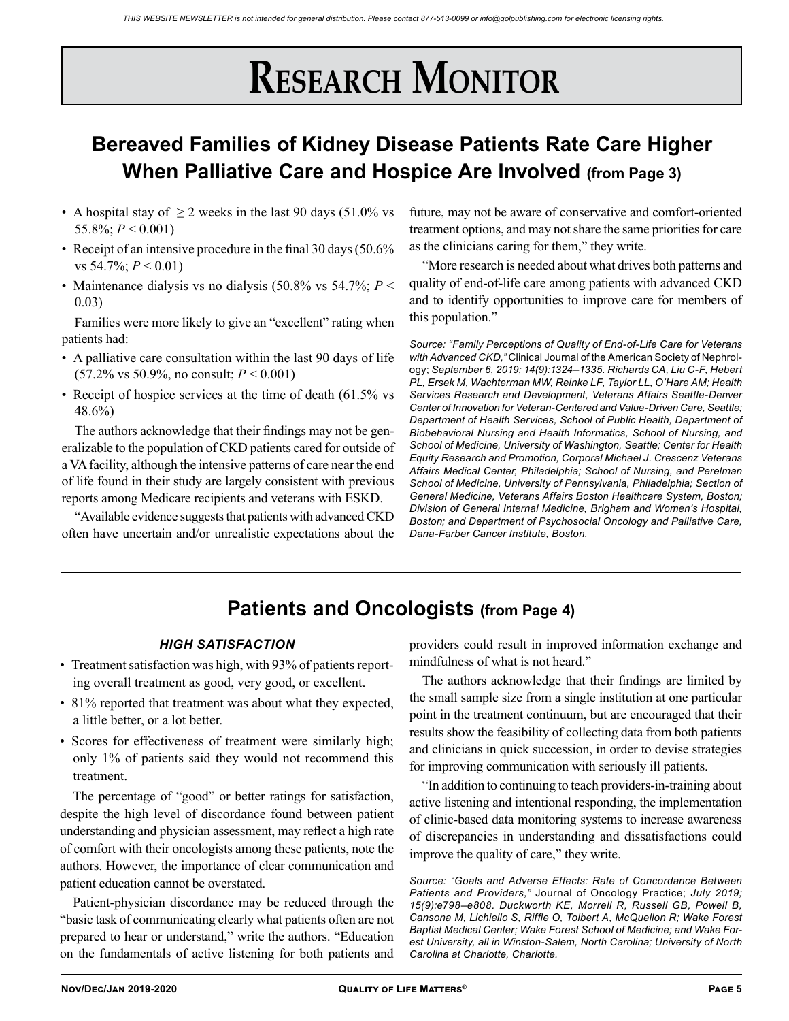# **Bereaved Families of Kidney Disease Patients Rate Care Higher When Palliative Care and Hospice Are Involved (from Page 3)**

- A hospital stay of  $\geq 2$  weeks in the last 90 days (51.0% vs 55.8%; *P* < 0.001)
- Receipt of an intensive procedure in the final 30 days (50.6% vs 54.7%; *P* < 0.01)
- Maintenance dialysis vs no dialysis (50.8% vs 54.7%;  $P \leq$ 0.03)

Families were more likely to give an "excellent" rating when patients had:

- A palliative care consultation within the last 90 days of life (57.2% vs 50.9%, no consult; *P* < 0.001)
- Receipt of hospice services at the time of death (61.5% vs 48.6%)

The authors acknowledge that their findings may not be generalizable to the population of CKD patients cared for outside of a VA facility, although the intensive patterns of care near the end of life found in their study are largely consistent with previous reports among Medicare recipients and veterans with ESKD.

"Available evidence suggests that patients with advanced CKD often have uncertain and/or unrealistic expectations about the future, may not be aware of conservative and comfort-oriented treatment options, and may not share the same priorities for care as the clinicians caring for them," they write.

"More research is needed about what drives both patterns and quality of end-of-life care among patients with advanced CKD and to identify opportunities to improve care for members of this population."

*Source: "Family Perceptions of Quality of End-of-Life Care for Veterans with Advanced CKD,"* Clinical Journal of the American Society of Nephrology; *September 6, 2019; 14(9):1324–1335. Richards CA, Liu C-F, Hebert PL, Ersek M, Wachterman MW, Reinke LF, Taylor LL, O'Hare AM; Health Services Research and Development, Veterans Affairs Seattle-Denver Center of Innovation for Veteran-Centered and Value-Driven Care, Seattle; Department of Health Services, School of Public Health, Department of Biobehavioral Nursing and Health Informatics, School of Nursing, and School of Medicine, University of Washington, Seattle; Center for Health Equity Research and Promotion, Corporal Michael J. Crescenz Veterans Affairs Medical Center, Philadelphia; School of Nursing, and Perelman School of Medicine, University of Pennsylvania, Philadelphia; Section of General Medicine, Veterans Affairs Boston Healthcare System, Boston; Division of General Internal Medicine, Brigham and Women's Hospital, Boston; and Department of Psychosocial Oncology and Palliative Care, Dana-Farber Cancer Institute, Boston.*

## **Patients and Oncologists (from Page 4)**

#### *HIGH SATISFACTION*

- Treatment satisfaction was high, with 93% of patients reporting overall treatment as good, very good, or excellent.
- 81% reported that treatment was about what they expected, a little better, or a lot better.
- Scores for effectiveness of treatment were similarly high; only 1% of patients said they would not recommend this treatment.

The percentage of "good" or better ratings for satisfaction, despite the high level of discordance found between patient understanding and physician assessment, may reflect a high rate of comfort with their oncologists among these patients, note the authors. However, the importance of clear communication and patient education cannot be overstated.

Patient-physician discordance may be reduced through the "basic task of communicating clearly what patients often are not prepared to hear or understand," write the authors. "Education on the fundamentals of active listening for both patients and

providers could result in improved information exchange and mindfulness of what is not heard."

The authors acknowledge that their findings are limited by the small sample size from a single institution at one particular point in the treatment continuum, but are encouraged that their results show the feasibility of collecting data from both patients and clinicians in quick succession, in order to devise strategies for improving communication with seriously ill patients.

"In addition to continuing to teach providers-in-training about active listening and intentional responding, the implementation of clinic-based data monitoring systems to increase awareness of discrepancies in understanding and dissatisfactions could improve the quality of care," they write.

*Source: "Goals and Adverse Effects: Rate of Concordance Between Patients and Providers,"* Journal of Oncology Practice; *July 2019; 15(9):e798–e808. Duckworth KE, Morrell R, Russell GB, Powell B, Cansona M, Lichiello S, Riffle O, Tolbert A, McQuellon R; Wake Forest Baptist Medical Center; Wake Forest School of Medicine; and Wake For*est University, all in Winston-Salem, North Carolina; University of North *Carolina at Charlotte, Charlotte.*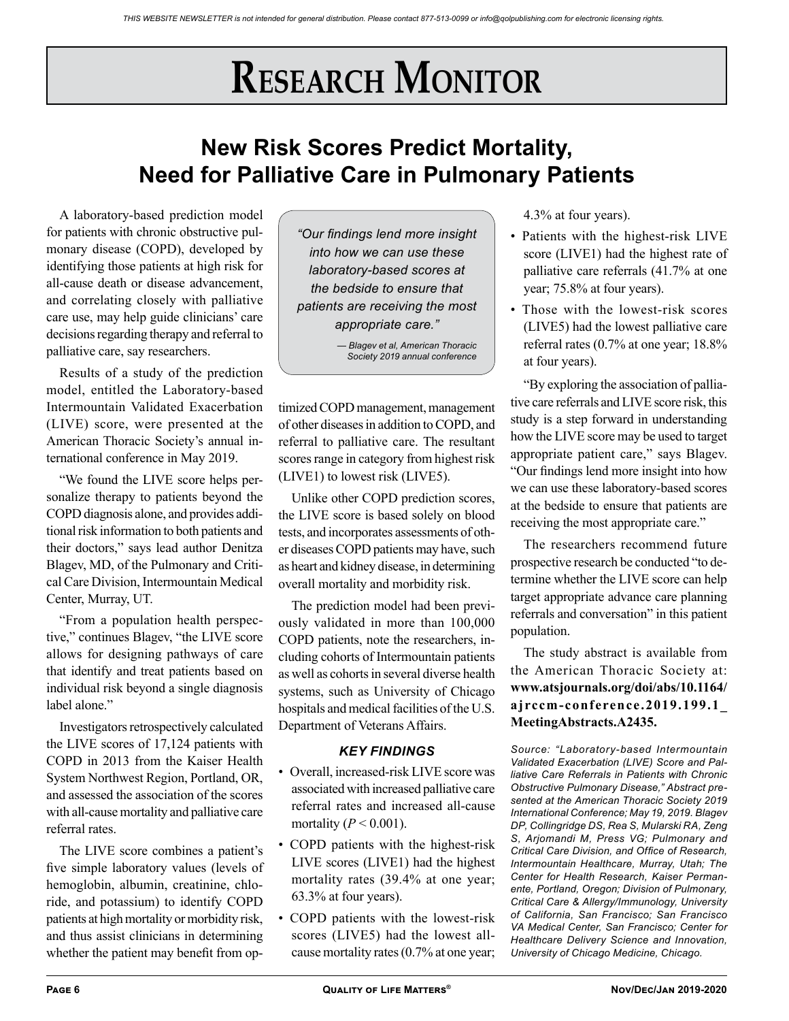# **New Risk Scores Predict Mortality, Need for Palliative Care in Pulmonary Patients**

A laboratory-based prediction model for patients with chronic obstructive pulmonary disease (COPD), developed by identifying those patients at high risk for all-cause death or disease advancement, and correlating closely with palliative care use, may help guide clinicians' care decisions regarding therapy and referral to palliative care, say researchers.

Results of a study of the prediction model, entitled the Laboratory-based Intermountain Validated Exacerbation (LIVE) score, were presented at the American Thoracic Society's annual international conference in May 2019.

"We found the LIVE score helps personalize therapy to patients beyond the COPD diagnosis alone, and provides additional risk information to both patients and their doctors," says lead author Denitza Blagev, MD, of the Pulmonary and Critical Care Division, Intermountain Medical Center, Murray, UT.

"From a population health perspective," continues Blagev, "the LIVE score allows for designing pathways of care that identify and treat patients based on individual risk beyond a single diagnosis label alone."

Investigators retrospectively calculated the LIVE scores of 17,124 patients with COPD in 2013 from the Kaiser Health System Northwest Region, Portland, OR, and assessed the association of the scores with all-cause mortality and palliative care referral rates.

The LIVE score combines a patient's five simple laboratory values (levels of hemoglobin, albumin, creatinine, chloride, and potassium) to identify COPD patients at high mortality or morbidity risk, and thus assist clinicians in determining whether the patient may benefit from op-

*"Our findings lend more insight into how we can use these laboratory-based scores at the bedside to ensure that patients are receiving the most appropriate care."* 

> *— Blagev et al, American Thoracic Society 2019 annual conference*

timized COPD management, management of other diseases in addition to COPD, and referral to palliative care. The resultant scores range in category from highest risk (LIVE1) to lowest risk (LIVE5).

Unlike other COPD prediction scores, the LIVE score is based solely on blood tests, and incorporates assessments of other diseases COPD patients may have, such as heart and kidney disease, in determining overall mortality and morbidity risk.

The prediction model had been previously validated in more than 100,000 COPD patients, note the researchers, including cohorts of Intermountain patients as well as cohorts in several diverse health systems, such as University of Chicago hospitals and medical facilities of the U.S. Department of Veterans Affairs.

## *KEY FINDINGS*

- Overall, increased-risk LIVE score was associated with increased palliative care referral rates and increased all-cause mortality  $(P < 0.001)$ .
- COPD patients with the highest-risk LIVE scores (LIVE1) had the highest mortality rates (39.4% at one year; 63.3% at four years).
- COPD patients with the lowest-risk scores (LIVE5) had the lowest allcause mortality rates (0.7% at one year;

4.3% at four years).

- Patients with the highest-risk LIVE score (LIVE1) had the highest rate of palliative care referrals (41.7% at one year; 75.8% at four years).
- Those with the lowest-risk scores (LIVE5) had the lowest palliative care referral rates (0.7% at one year; 18.8% at four years).

"By exploring the association of palliative care referrals and LIVE score risk, this study is a step forward in understanding how the LIVE score may be used to target appropriate patient care," says Blagev. "Our findings lend more insight into how we can use these laboratory-based scores at the bedside to ensure that patients are receiving the most appropriate care."

The researchers recommend future prospective research be conducted "to determine whether the LIVE score can help target appropriate advance care planning referrals and conversation" in this patient population.

The study abstract is available from the American Thoracic Society at: **www.atsjournals.org/doi/abs/10.1164/ ajrccm-conference.2019.199.1\_ MeetingAbstracts.A2435.**

*Source: "Laboratory-based Intermountain Validated Exacerbation (LIVE) Score and Palliative Care Referrals in Patients with Chronic Obstructive Pulmonary Disease," Abstract presented at the American Thoracic Society 2019 International Conference; May 19, 2019. Blagev DP, Collingridge DS, Rea S, Mularski RA, Zeng S, Arjomandi M, Press VG; Pulmonary and Critical Care Division, and Office of Research, Intermountain Healthcare, Murray, Utah; The Center for Health Research, Kaiser Permanente, Portland, Oregon; Division of Pulmonary, Critical Care & Allergy/Immunology, University of California, San Francisco; San Francisco VA Medical Center, San Francisco; Center for Healthcare Delivery Science and Innovation, University of Chicago Medicine, Chicago.*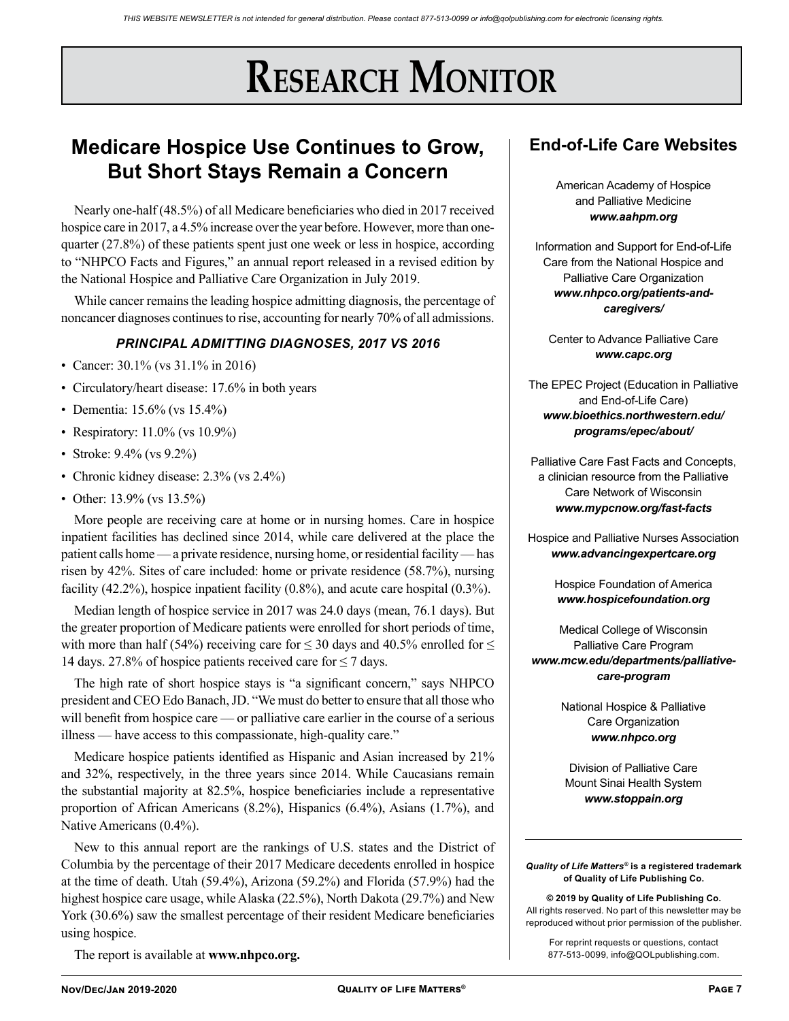## **Medicare Hospice Use Continues to Grow, But Short Stays Remain a Concern**

Nearly one-half (48.5%) of all Medicare beneficiaries who died in 2017 received hospice care in 2017, a 4.5% increase over the year before. However, more than onequarter (27.8%) of these patients spent just one week or less in hospice, according to "NHPCO Facts and Figures," an annual report released in a revised edition by the National Hospice and Palliative Care Organization in July 2019.

While cancer remains the leading hospice admitting diagnosis, the percentage of noncancer diagnoses continues to rise, accounting for nearly 70% of all admissions.

### *PRINCIPAL ADMITTING DIAGNOSES, 2017 VS 2016*

- Cancer: 30.1% (vs 31.1% in 2016)
- Circulatory/heart disease: 17.6% in both years
- Dementia: 15.6% (vs 15.4%)
- Respiratory: 11.0% (vs 10.9%)
- Stroke: 9.4% (vs 9.2%)
- Chronic kidney disease: 2.3% (vs 2.4%)
- Other: 13.9% (vs 13.5%)

More people are receiving care at home or in nursing homes. Care in hospice inpatient facilities has declined since 2014, while care delivered at the place the patient calls home — a private residence, nursing home, or residential facility — has risen by 42%. Sites of care included: home or private residence (58.7%), nursing facility (42.2%), hospice inpatient facility (0.8%), and acute care hospital (0.3%).

Median length of hospice service in 2017 was 24.0 days (mean, 76.1 days). But the greater proportion of Medicare patients were enrolled for short periods of time, with more than half (54%) receiving care for  $\leq$  30 days and 40.5% enrolled for  $\leq$ 14 days. 27.8% of hospice patients received care for  $\leq$  7 days.

The high rate of short hospice stays is "a significant concern," says NHPCO president and CEO Edo Banach, JD. "We must do better to ensure that all those who will benefit from hospice care — or palliative care earlier in the course of a serious illness — have access to this compassionate, high-quality care."

Medicare hospice patients identified as Hispanic and Asian increased by 21% and 32%, respectively, in the three years since 2014. While Caucasians remain the substantial majority at 82.5%, hospice beneficiaries include a representative proportion of African Americans (8.2%), Hispanics (6.4%), Asians (1.7%), and Native Americans (0.4%).

New to this annual report are the rankings of U.S. states and the District of Columbia by the percentage of their 2017 Medicare decedents enrolled in hospice at the time of death. Utah (59.4%), Arizona (59.2%) and Florida (57.9%) had the highest hospice care usage, while Alaska (22.5%), North Dakota (29.7%) and New York (30.6%) saw the smallest percentage of their resident Medicare beneficiaries using hospice.

The report is available at **www.nhpco.org.**

## **End-of-Life Care Websites**

American Academy of Hospice and Palliative Medicine *www.aahpm.org*

Information and Support for End-of-Life Care from the National Hospice and Palliative Care Organization *www.nhpco.org/patients-andcaregivers/*

Center to Advance Palliative Care *www.capc.org*

The EPEC Project (Education in Palliative and End-of-Life Care) *www.bioethics.northwestern.edu/ programs/epec/about/*

Palliative Care Fast Facts and Concepts, a clinician resource from the Palliative Care Network of Wisconsin *www.mypcnow.org/fast-facts*

Hospice and Palliative Nurses Association *www.advancingexpertcare.org*

> Hospice Foundation of America *www.hospicefoundation.org*

Medical College of Wisconsin Palliative Care Program *www.mcw.edu/departments/palliativecare-program*

> National Hospice & Palliative Care Organization *www.nhpco.org*

Division of Palliative Care Mount Sinai Health System *www.stoppain.org*

*Quality of Life Matters®* **is a registered trademark of Quality of Life Publishing Co.** 

**© 2019 by Quality of Life Publishing Co.** All rights reserved. No part of this newsletter may be reproduced without prior permission of the publisher.

For reprint requests or questions, contact 877-513-0099, info@QOLpublishing.com.